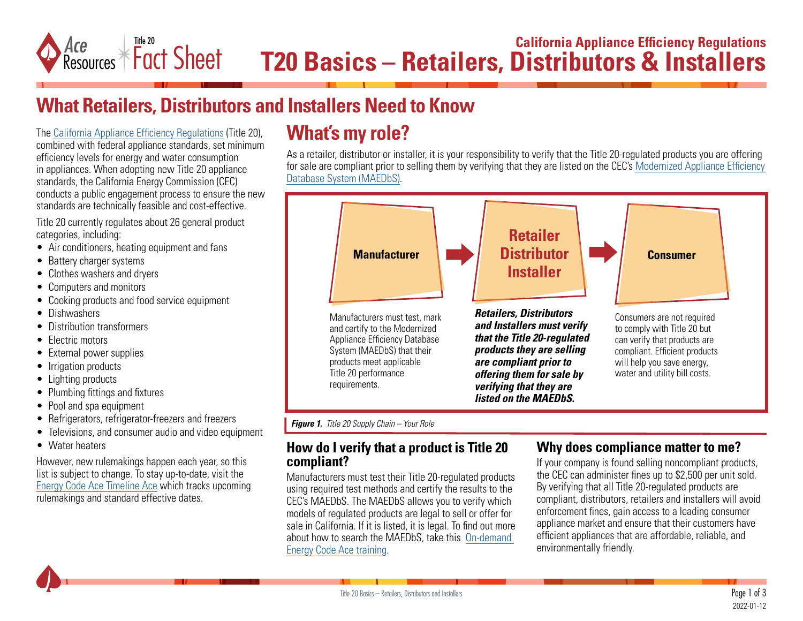

## **What Retailers, Distributors and Installers Need to Know**

The [California Appliance Efficiency Regulations](https://energycodeace.com/content/reference-ace-t20-tool) (Title 20), combined with federal appliance standards, set minimum efficiency levels for energy and water consumption in appliances. When adopting new Title 20 appliance standards, the California Energy Commission (CEC) conducts a public engagement process to ensure the new standards are technically feasible and cost-effective.

Title 20 currently regulates about 26 general product categories, including:

- Air conditioners, heating equipment and fans
- Battery charger systems
- Clothes washers and dryers
- Computers and monitors
- Cooking products and food service equipment
- Dishwashers
- Distribution transformers
- Flectric motors
- External power supplies
- Irrigation products
- Lighting products
- Plumbing fittings and fixtures
- Pool and spa equipment
- Refrigerators, refrigerator-freezers and freezers
- Televisions, and consumer audio and video equipment
- Water heaters

However, new rulemakings happen each year, so this list is subject to change. To stay up-to-date, visit the [Energy Code Ace Timeline Ace](https://energycodeace.com/timeline#:~:text=The%20Timeline%20Ace%E2%84%A2%20allows,Standards%2C%20and%20Federal%20energy%20standards.&text=The%20timeline%20view%20defaults%20to,prior%20to%20the%20current%20month.) which tracks upcoming rulemakings and standard effective dates.

# **What's my role?**

As a retailer, distributor or installer, it is your responsibility to verify that the Title 20-regulated products you are offering for sale are compliant prior to selling them by verifying that they are listed on the CEC's [Modernized Appliance Efficiency](https://cacertappliances.energy.ca.gov/Pages/Search/AdvancedSearch.aspx)  [Database System \(MAEDbS\)](https://cacertappliances.energy.ca.gov/Pages/Search/AdvancedSearch.aspx).



*Figure 1. Title 20 Supply Chain – Your Role*

### **How do I verify that a product is Title 20 compliant?**

Manufacturers must test their Title 20-regulated products using required test methods and certify the results to the CEC's MAEDbS. The MAEDbS allows you to verify which models of regulated products are legal to sell or offer for sale in California. If it is listed, it is legal. To find out more about how to search the MAEDbS, take this [On-demand](https://energycodeace.com/content/training-ace/courseId=16231)  [Energy Code Ace training](https://energycodeace.com/content/training-ace/courseId=16231).

### **Why does compliance matter to me?**

If your company is found selling noncompliant products, the CEC can administer fines up to \$2,500 per unit sold. By verifying that all Title 20-regulated products are compliant, distributors, retailers and installers will avoid enforcement fines, gain access to a leading consumer appliance market and ensure that their customers have efficient appliances that are affordable, reliable, and environmentally friendly.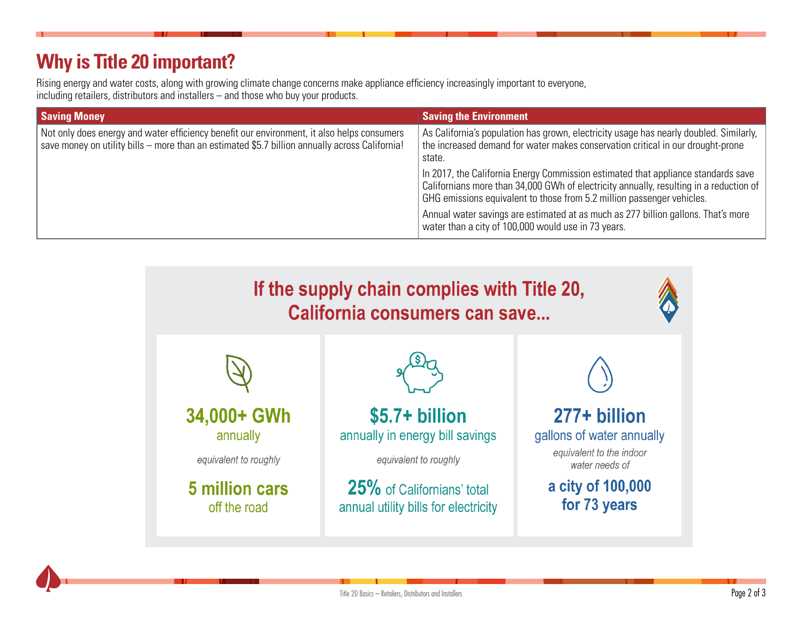# **Why is Title 20 important?**

Rising energy and water costs, along with growing climate change concerns make appliance efficiency increasingly important to everyone, including retailers, distributors and installers – and those who buy your products.

| <b>Saving Money</b>                                                                                                                                                                          | <b>Saving the Environment</b>                                                                                                                                                                                                                         |
|----------------------------------------------------------------------------------------------------------------------------------------------------------------------------------------------|-------------------------------------------------------------------------------------------------------------------------------------------------------------------------------------------------------------------------------------------------------|
| Not only does energy and water efficiency benefit our environment, it also helps consumers<br>save money on utility bills - more than an estimated \$5.7 billion annually across California! | As California's population has grown, electricity usage has nearly doubled. Similarly,<br>the increased demand for water makes conservation critical in our drought-prone<br>state.                                                                   |
|                                                                                                                                                                                              | In 2017, the California Energy Commission estimated that appliance standards save<br>Californians more than 34,000 GWh of electricity annually, resulting in a reduction of<br>GHG emissions equivalent to those from 5.2 million passenger vehicles. |
|                                                                                                                                                                                              | Annual water savings are estimated at as much as 277 billion gallons. That's more<br>water than a city of 100,000 would use in 73 years.                                                                                                              |